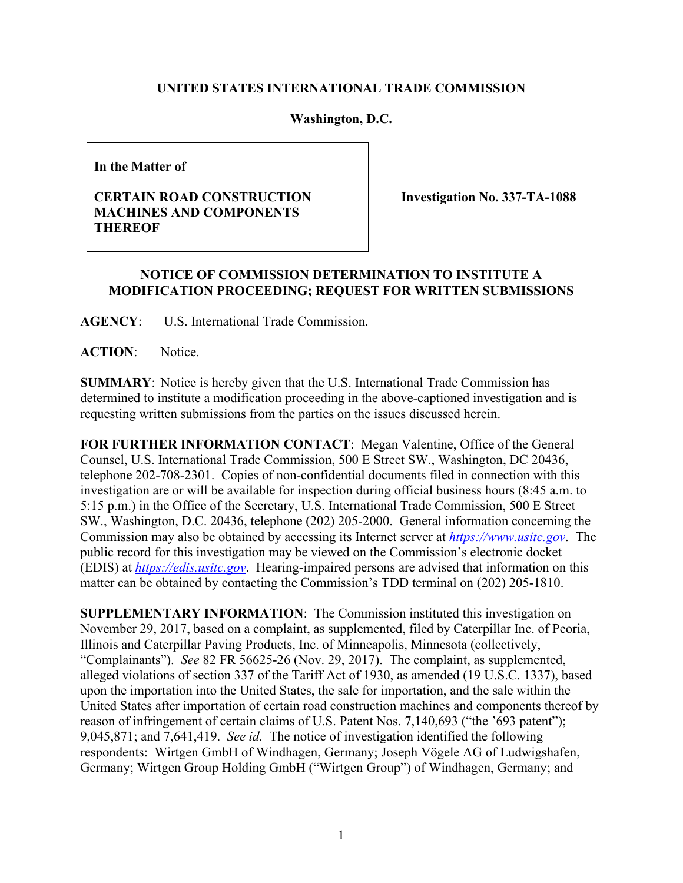## **UNITED STATES INTERNATIONAL TRADE COMMISSION**

## **Washington, D.C.**

**In the Matter of**

## **CERTAIN ROAD CONSTRUCTION MACHINES AND COMPONENTS THEREOF**

**Investigation No. 337-TA-1088**

## **NOTICE OF COMMISSION DETERMINATION TO INSTITUTE A MODIFICATION PROCEEDING; REQUEST FOR WRITTEN SUBMISSIONS**

**AGENCY**: U.S. International Trade Commission.

**ACTION**: Notice.

**SUMMARY**: Notice is hereby given that the U.S. International Trade Commission has determined to institute a modification proceeding in the above-captioned investigation and is requesting written submissions from the parties on the issues discussed herein.

**FOR FURTHER INFORMATION CONTACT**: Megan Valentine, Office of the General Counsel, U.S. International Trade Commission, 500 E Street SW., Washington, DC 20436, telephone 202-708-2301. Copies of non-confidential documents filed in connection with this investigation are or will be available for inspection during official business hours (8:45 a.m. to 5:15 p.m.) in the Office of the Secretary, U.S. International Trade Commission, 500 E Street SW., Washington, D.C. 20436, telephone (202) 205-2000. General information concerning the Commission may also be obtained by accessing its Internet server at *[https://www.usitc.gov](https://www.usitc.gov/)*. The public record for this investigation may be viewed on the Commission's electronic docket (EDIS) at *[https://edis.usitc.gov](http://edis.usitc.gov/)*. Hearing-impaired persons are advised that information on this matter can be obtained by contacting the Commission's TDD terminal on (202) 205-1810.

**SUPPLEMENTARY INFORMATION**: The Commission instituted this investigation on November 29, 2017, based on a complaint, as supplemented, filed by Caterpillar Inc. of Peoria, Illinois and Caterpillar Paving Products, Inc. of Minneapolis, Minnesota (collectively, "Complainants"). *See* 82 FR 56625-26 (Nov. 29, 2017). The complaint, as supplemented, alleged violations of section 337 of the Tariff Act of 1930, as amended (19 U.S.C. 1337), based upon the importation into the United States, the sale for importation, and the sale within the United States after importation of certain road construction machines and components thereof by reason of infringement of certain claims of U.S. Patent Nos. 7,140,693 ("the '693 patent"); 9,045,871; and 7,641,419. *See id.* The notice of investigation identified the following respondents: Wirtgen GmbH of Windhagen, Germany; Joseph Vögele AG of Ludwigshafen, Germany; Wirtgen Group Holding GmbH ("Wirtgen Group") of Windhagen, Germany; and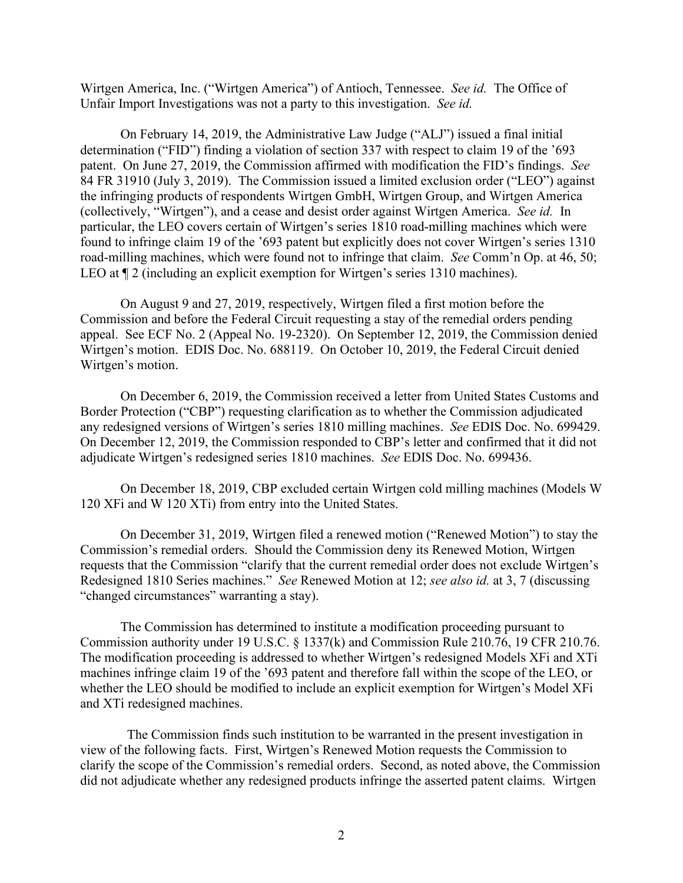Wirtgen America, Inc. ("Wirtgen America") of Antioch, Tennessee. *See id.* The Office of Unfair Import Investigations was not a party to this investigation. *See id.* 

On February 14, 2019, the Administrative Law Judge ("ALJ") issued a final initial determination ("FID") finding a violation of section 337 with respect to claim 19 of the '693 patent. On June 27, 2019, the Commission affirmed with modification the FID's findings. *See* 84 FR 31910 (July 3, 2019). The Commission issued a limited exclusion order ("LEO") against the infringing products of respondents Wirtgen GmbH, Wirtgen Group, and Wirtgen America (collectively, "Wirtgen"), and a cease and desist order against Wirtgen America. *See id.* In particular, the LEO covers certain of Wirtgen's series 1810 road-milling machines which were found to infringe claim 19 of the '693 patent but explicitly does not cover Wirtgen's series 1310 road-milling machines, which were found not to infringe that claim. *See* Comm'n Op. at 46, 50; LEO at  $\P$  2 (including an explicit exemption for Wirtgen's series 1310 machines).

On August 9 and 27, 2019, respectively, Wirtgen filed a first motion before the Commission and before the Federal Circuit requesting a stay of the remedial orders pending appeal. See ECF No. 2 (Appeal No. 19-2320). On September 12, 2019, the Commission denied Wirtgen's motion. EDIS Doc. No. 688119. On October 10, 2019, the Federal Circuit denied Wirtgen's motion.

On December 6, 2019, the Commission received a letter from United States Customs and Border Protection ("CBP") requesting clarification as to whether the Commission adjudicated any redesigned versions of Wirtgen's series 1810 milling machines. *See* EDIS Doc. No. 699429. On December 12, 2019, the Commission responded to CBP's letter and confirmed that it did not adjudicate Wirtgen's redesigned series 1810 machines. *See* EDIS Doc. No. 699436.

On December 18, 2019, CBP excluded certain Wirtgen cold milling machines (Models W 120 XFi and W 120 XTi) from entry into the United States.

On December 31, 2019, Wirtgen filed a renewed motion ("Renewed Motion") to stay the Commission's remedial orders. Should the Commission deny its Renewed Motion, Wirtgen requests that the Commission "clarify that the current remedial order does not exclude Wirtgen's Redesigned 1810 Series machines." *See* Renewed Motion at 12; *see also id.* at 3, 7 (discussing "changed circumstances" warranting a stay).

The Commission has determined to institute a modification proceeding pursuant to Commission authority under 19 U.S.C. § 1337(k) and Commission Rule 210.76, 19 CFR 210.76. The modification proceeding is addressed to whether Wirtgen's redesigned Models XFi and XTi machines infringe claim 19 of the '693 patent and therefore fall within the scope of the LEO, or whether the LEO should be modified to include an explicit exemption for Wirtgen's Model XFi and XTi redesigned machines.

 The Commission finds such institution to be warranted in the present investigation in view of the following facts. First, Wirtgen's Renewed Motion requests the Commission to clarify the scope of the Commission's remedial orders. Second, as noted above, the Commission did not adjudicate whether any redesigned products infringe the asserted patent claims. Wirtgen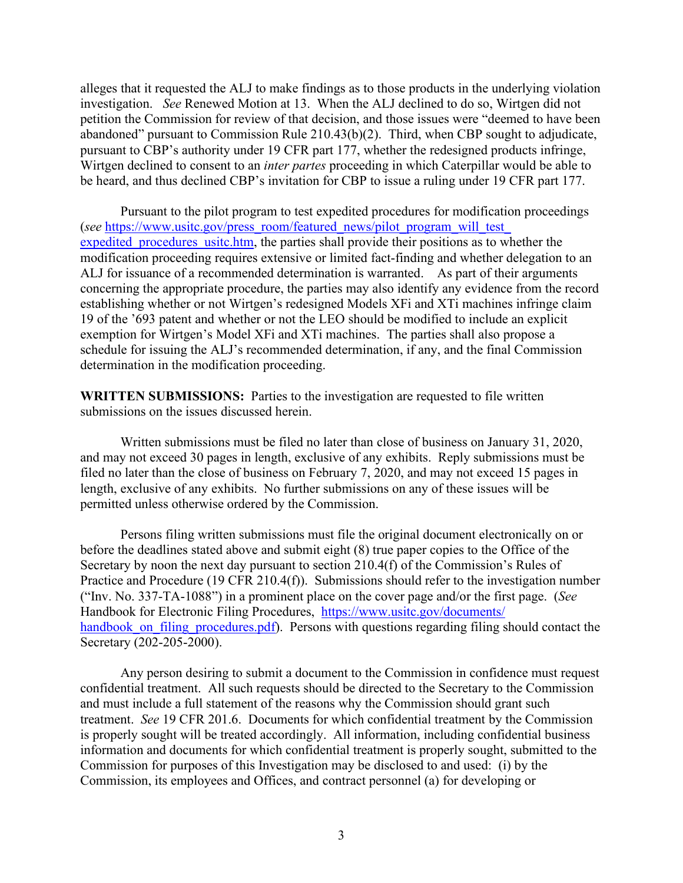alleges that it requested the ALJ to make findings as to those products in the underlying violation investigation. *See* Renewed Motion at 13. When the ALJ declined to do so, Wirtgen did not petition the Commission for review of that decision, and those issues were "deemed to have been abandoned" pursuant to Commission Rule 210.43(b)(2). Third, when CBP sought to adjudicate, pursuant to CBP's authority under 19 CFR part 177, whether the redesigned products infringe, Wirtgen declined to consent to an *inter partes* proceeding in which Caterpillar would be able to be heard, and thus declined CBP's invitation for CBP to issue a ruling under 19 CFR part 177.

Pursuant to the pilot program to test expedited procedures for modification proceedings (*see* [https://www.usitc.gov/press\\_room/featured\\_news/pilot\\_program\\_will\\_test\\_](https://www.usitc.gov/press_room/featured_news/pilot_program_will_test_expedited_procedures_usitc.htm) expedited procedures usite.htm, the parties shall provide their positions as to whether the modification proceeding requires extensive or limited fact-finding and whether delegation to an ALJ for issuance of a recommended determination is warranted. As part of their arguments concerning the appropriate procedure, the parties may also identify any evidence from the record establishing whether or not Wirtgen's redesigned Models XFi and XTi machines infringe claim 19 of the '693 patent and whether or not the LEO should be modified to include an explicit exemption for Wirtgen's Model XFi and XTi machines. The parties shall also propose a schedule for issuing the ALJ's recommended determination, if any, and the final Commission determination in the modification proceeding.

**WRITTEN SUBMISSIONS:** Parties to the investigation are requested to file written submissions on the issues discussed herein.

Written submissions must be filed no later than close of business on January 31, 2020, and may not exceed 30 pages in length, exclusive of any exhibits. Reply submissions must be filed no later than the close of business on February 7, 2020, and may not exceed 15 pages in length, exclusive of any exhibits. No further submissions on any of these issues will be permitted unless otherwise ordered by the Commission.

Persons filing written submissions must file the original document electronically on or before the deadlines stated above and submit eight (8) true paper copies to the Office of the Secretary by noon the next day pursuant to section 210.4(f) of the Commission's Rules of Practice and Procedure (19 CFR 210.4(f)). Submissions should refer to the investigation number ("Inv. No. 337-TA-1088") in a prominent place on the cover page and/or the first page. (*See* Handbook for Electronic Filing Procedures, [https://www.usitc.gov/documents/](https://www.usitc.gov/documents/%20handbook_on_filing_procedures.pdf)  handbook on filing procedures.pdf). Persons with questions regarding filing should contact the Secretary (202-205-2000).

Any person desiring to submit a document to the Commission in confidence must request confidential treatment. All such requests should be directed to the Secretary to the Commission and must include a full statement of the reasons why the Commission should grant such treatment. *See* 19 CFR 201.6. Documents for which confidential treatment by the Commission is properly sought will be treated accordingly. All information, including confidential business information and documents for which confidential treatment is properly sought, submitted to the Commission for purposes of this Investigation may be disclosed to and used: (i) by the Commission, its employees and Offices, and contract personnel (a) for developing or